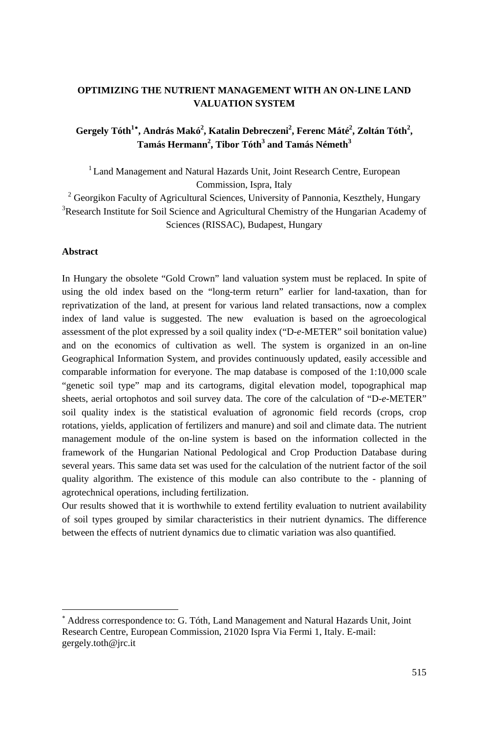# **OPTIMIZING THE NUTRIENT MANAGEMENT WITH AN ON-LINE LAND VALUATION SYSTEM**

Gergely Tóth<sup>1</sup><sup>∗</sup>, András Makó<sup>2</sup>, Katalin Debreczeni<sup>2</sup>, Ferenc Máté<sup>2</sup>, Zoltán Tóth<sup>2</sup>,  $\mathrm{Tamás}\ \mathrm{Hermann}^{2},$  Tibor  $\mathrm{Tóth}^{3}$  and  $\mathrm{Tamás}\ \mathrm{Németh}^{3}$ 

<sup>1</sup> Land Management and Natural Hazards Unit, Joint Research Centre, European Commission, Ispra, Italy<br><sup>2</sup> Georgiken Feaulty of Agricultural Sciences, University

<sup>2</sup> Georgikon Faculty of Agricultural Sciences, University of Pannonia, Keszthely, Hungary <sup>3</sup> Besearch Institute for Soil Science and Agricultural Chamistry of the Hungarian Academy of  $R^3$ Research Institute for Soil Science and Agricultural Chemistry of the Hungarian Academy of Sciences (RISSAC), Budapest, Hungary

#### **Abstract**

 $\overline{a}$ 

In Hungary the obsolete "Gold Crown" land valuation system must be replaced. In spite of using the old index based on the "long-term return" earlier for land-taxation, than for reprivatization of the land, at present for various land related transactions, now a complex index of land value is suggested. The new evaluation is based on the agroecological assessment of the plot expressed by a soil quality index ("D-*e*-METER" soil bonitation value) and on the economics of cultivation as well. The system is organized in an on-line Geographical Information System, and provides continuously updated, easily accessible and comparable information for everyone. The map database is composed of the 1:10,000 scale "genetic soil type" map and its cartograms, digital elevation model, topographical map sheets, aerial ortophotos and soil survey data. The core of the calculation of "D-*e*-METER" soil quality index is the statistical evaluation of agronomic field records (crops, crop rotations, yields, application of fertilizers and manure) and soil and climate data. The nutrient management module of the on-line system is based on the information collected in the framework of the Hungarian National Pedological and Crop Production Database during several years. This same data set was used for the calculation of the nutrient factor of the soil quality algorithm. The existence of this module can also contribute to the - planning of agrotechnical operations, including fertilization.

Our results showed that it is worthwhile to extend fertility evaluation to nutrient availability of soil types grouped by similar characteristics in their nutrient dynamics. The difference between the effects of nutrient dynamics due to climatic variation was also quantified.

<sup>∗</sup> Address correspondence to: G. Tóth, Land Management and Natural Hazards Unit, Joint Research Centre, European Commission, 21020 Ispra Via Fermi 1, Italy. E-mail: gergely.toth@jrc.it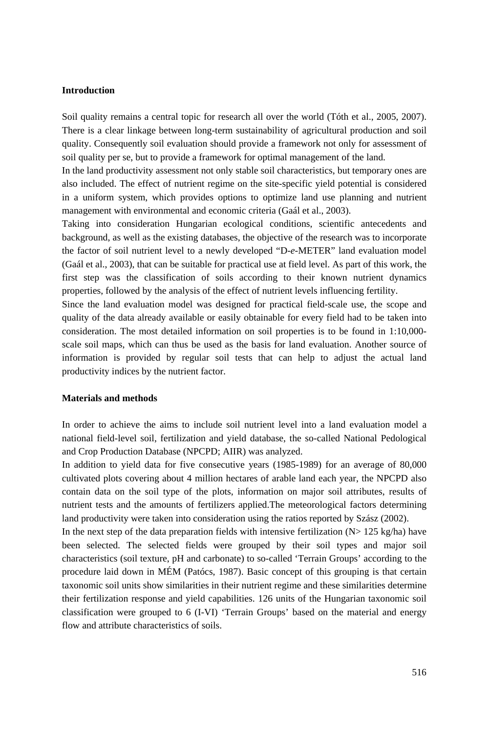#### **Introduction**

Soil quality remains a central topic for research all over the world (Tóth et al., 2005, 2007). There is a clear linkage between long-term sustainability of agricultural production and soil quality. Consequently soil evaluation should provide a framework not only for assessment of soil quality per se, but to provide a framework for optimal management of the land.

In the land productivity assessment not only stable soil characteristics, but temporary ones are also included. The effect of nutrient regime on the site-specific yield potential is considered in a uniform system, which provides options to optimize land use planning and nutrient management with environmental and economic criteria (Gaál et al., 2003).

Taking into consideration Hungarian ecological conditions, scientific antecedents and background, as well as the existing databases, the objective of the research was to incorporate the factor of soil nutrient level to a newly developed "D-*e*-METER" land evaluation model (Gaál et al., 2003), that can be suitable for practical use at field level. As part of this work, the first step was the classification of soils according to their known nutrient dynamics properties, followed by the analysis of the effect of nutrient levels influencing fertility.

Since the land evaluation model was designed for practical field-scale use, the scope and quality of the data already available or easily obtainable for every field had to be taken into consideration. The most detailed information on soil properties is to be found in 1:10,000 scale soil maps, which can thus be used as the basis for land evaluation. Another source of information is provided by regular soil tests that can help to adjust the actual land productivity indices by the nutrient factor.

#### **Materials and methods**

In order to achieve the aims to include soil nutrient level into a land evaluation model a national field-level soil, fertilization and yield database, the so-called National Pedological and Crop Production Database (NPCPD; AIIR) was analyzed.

In addition to yield data for five consecutive years (1985-1989) for an average of 80,000 cultivated plots covering about 4 million hectares of arable land each year, the NPCPD also contain data on the soil type of the plots, information on major soil attributes, results of nutrient tests and the amounts of fertilizers applied.The meteorological factors determining land productivity were taken into consideration using the ratios reported by Szász (2002).

In the next step of the data preparation fields with intensive fertilization  $(N> 125 \text{ kg/ha})$  have been selected. The selected fields were grouped by their soil types and major soil characteristics (soil texture, pH and carbonate) to so-called 'Terrain Groups' according to the procedure laid down in MÉM (Patócs, 1987). Basic concept of this grouping is that certain taxonomic soil units show similarities in their nutrient regime and these similarities determine their fertilization response and yield capabilities. 126 units of the Hungarian taxonomic soil classification were grouped to 6 (I-VI) 'Terrain Groups' based on the material and energy flow and attribute characteristics of soils.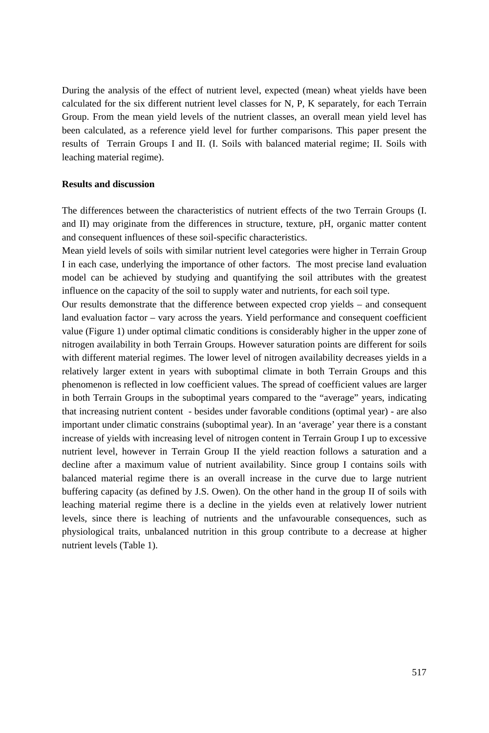During the analysis of the effect of nutrient level, expected (mean) wheat yields have been calculated for the six different nutrient level classes for N, P, K separately, for each Terrain Group. From the mean yield levels of the nutrient classes, an overall mean yield level has been calculated, as a reference yield level for further comparisons. This paper present the results of Terrain Groups I and II. (I. Soils with balanced material regime; II. Soils with leaching material regime).

#### **Results and discussion**

The differences between the characteristics of nutrient effects of the two Terrain Groups (I. and II) may originate from the differences in structure, texture, pH, organic matter content and consequent influences of these soil-specific characteristics.

Mean yield levels of soils with similar nutrient level categories were higher in Terrain Group I in each case, underlying the importance of other factors. The most precise land evaluation model can be achieved by studying and quantifying the soil attributes with the greatest influence on the capacity of the soil to supply water and nutrients, for each soil type.

Our results demonstrate that the difference between expected crop yields – and consequent land evaluation factor – vary across the years. Yield performance and consequent coefficient value (Figure 1) under optimal climatic conditions is considerably higher in the upper zone of nitrogen availability in both Terrain Groups. However saturation points are different for soils with different material regimes. The lower level of nitrogen availability decreases yields in a relatively larger extent in years with suboptimal climate in both Terrain Groups and this phenomenon is reflected in low coefficient values. The spread of coefficient values are larger in both Terrain Groups in the suboptimal years compared to the "average" years, indicating that increasing nutrient content - besides under favorable conditions (optimal year) - are also important under climatic constrains (suboptimal year). In an 'average' year there is a constant increase of yields with increasing level of nitrogen content in Terrain Group I up to excessive nutrient level, however in Terrain Group II the yield reaction follows a saturation and a decline after a maximum value of nutrient availability. Since group I contains soils with balanced material regime there is an overall increase in the curve due to large nutrient buffering capacity (as defined by J.S. Owen). On the other hand in the group II of soils with leaching material regime there is a decline in the yields even at relatively lower nutrient levels, since there is leaching of nutrients and the unfavourable consequences, such as physiological traits, unbalanced nutrition in this group contribute to a decrease at higher nutrient levels (Table 1).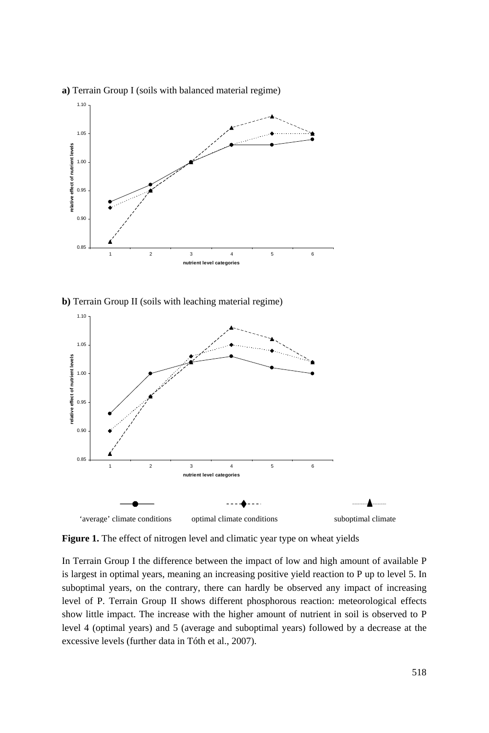

**a)** Terrain Group I (soils with balanced material regime)

**b)** Terrain Group II (soils with leaching material regime)



Figure 1. The effect of nitrogen level and climatic year type on wheat yields

In Terrain Group I the difference between the impact of low and high amount of available P is largest in optimal years, meaning an increasing positive yield reaction to P up to level 5. In suboptimal years, on the contrary, there can hardly be observed any impact of increasing level of P. Terrain Group II shows different phosphorous reaction: meteorological effects show little impact. The increase with the higher amount of nutrient in soil is observed to P level 4 (optimal years) and 5 (average and suboptimal years) followed by a decrease at the excessive levels (further data in Tóth et al., 2007).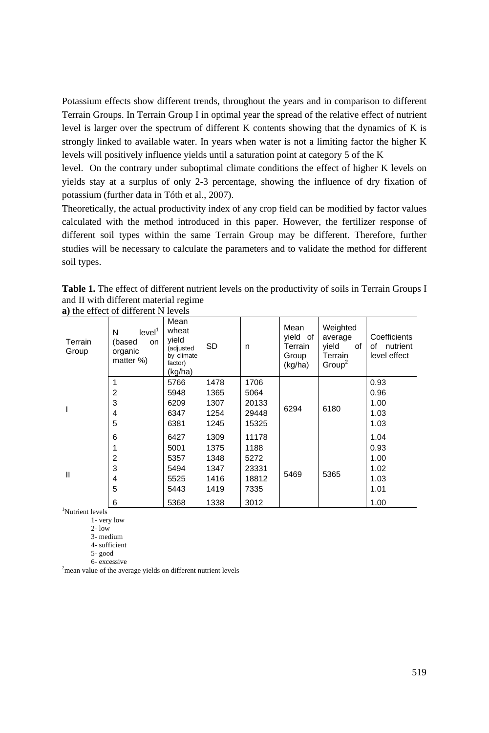Potassium effects show different trends, throughout the years and in comparison to different Terrain Groups. In Terrain Group I in optimal year the spread of the relative effect of nutrient level is larger over the spectrum of different K contents showing that the dynamics of K is strongly linked to available water. In years when water is not a limiting factor the higher K levels will positively influence yields until a saturation point at category 5 of the K

level. On the contrary under suboptimal climate conditions the effect of higher K levels on yields stay at a surplus of only 2-3 percentage, showing the influence of dry fixation of potassium (further data in Tóth et al., 2007).

Theoretically, the actual productivity index of any crop field can be modified by factor values calculated with the method introduced in this paper. However, the fertilizer response of different soil types within the same Terrain Group may be different. Therefore, further studies will be necessary to calculate the parameters and to validate the method for different soil types.

|                                       |  |  | <b>Table 1.</b> The effect of different nutrient levels on the productivity of soils in Terrain Groups I |  |  |  |  |  |  |
|---------------------------------------|--|--|----------------------------------------------------------------------------------------------------------|--|--|--|--|--|--|
| and II with different material regime |  |  |                                                                                                          |  |  |  |  |  |  |
| a) the effect of different N levels   |  |  |                                                                                                          |  |  |  |  |  |  |

| $\mathbf{u}$ , the effect of university is not the |                                                                 |                                                                         |           |       |                                                 |                                                                     |                                             |  |  |  |
|----------------------------------------------------|-----------------------------------------------------------------|-------------------------------------------------------------------------|-----------|-------|-------------------------------------------------|---------------------------------------------------------------------|---------------------------------------------|--|--|--|
| Terrain<br>Group                                   | level <sup>1</sup><br>N<br>(based<br>on<br>organic<br>matter %) | Mean<br>wheat<br>yield<br>(adjusted<br>by climate<br>factor)<br>(kg/ha) | <b>SD</b> | n     | Mean<br>yield of<br>Terrain<br>Group<br>(kg/ha) | Weighted<br>average<br>yield<br>of<br>Terrain<br>Group <sup>2</sup> | Coefficients<br>of nutrient<br>level effect |  |  |  |
|                                                    | 1                                                               | 5766                                                                    | 1478      | 1706  |                                                 | 6180                                                                | 0.93                                        |  |  |  |
|                                                    | 2                                                               | 5948                                                                    | 1365      | 5064  | 6294                                            |                                                                     | 0.96                                        |  |  |  |
|                                                    | 3                                                               | 6209                                                                    | 1307      | 20133 |                                                 |                                                                     | 1.00                                        |  |  |  |
|                                                    | 4                                                               | 6347                                                                    | 1254      | 29448 |                                                 |                                                                     | 1.03                                        |  |  |  |
|                                                    | 5                                                               | 6381                                                                    | 1245      | 15325 |                                                 |                                                                     | 1.03                                        |  |  |  |
|                                                    | 6                                                               | 6427                                                                    | 1309      | 11178 |                                                 |                                                                     | 1.04                                        |  |  |  |
|                                                    | 1                                                               | 5001                                                                    | 1375      | 1188  | 5469                                            | 5365                                                                | 0.93                                        |  |  |  |
|                                                    | 2                                                               | 5357                                                                    | 1348      | 5272  |                                                 |                                                                     | 1.00                                        |  |  |  |
|                                                    | 3                                                               | 5494                                                                    | 1347      | 23331 |                                                 |                                                                     | 1.02                                        |  |  |  |
| Ш                                                  | 4                                                               | 5525                                                                    | 1416      | 18812 |                                                 |                                                                     | 1.03                                        |  |  |  |
|                                                    | 5                                                               | 5443                                                                    | 1419      | 7335  |                                                 |                                                                     | 1.01                                        |  |  |  |
|                                                    | 6                                                               | 5368                                                                    | 1338      | 3012  |                                                 |                                                                     | 1.00                                        |  |  |  |

1 Nutrient levels

1- very low  $2 - \text{low}$ 

3- medium

4- sufficient

5- good

6- excessive 2 mean value of the average yields on different nutrient levels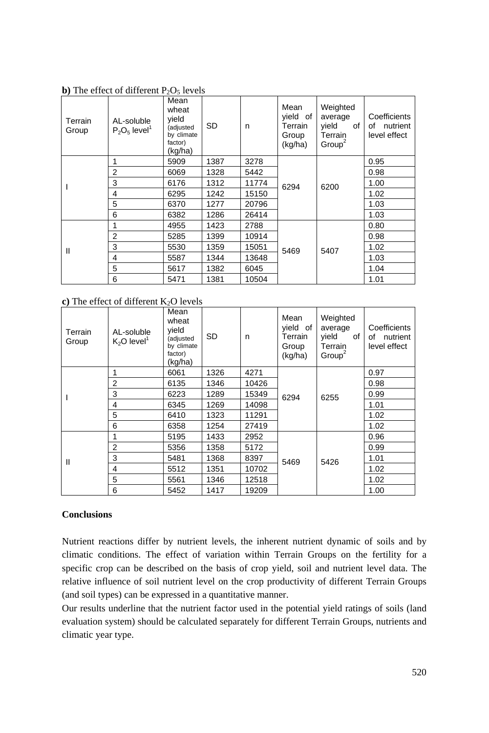| Terrain<br>Group | AL-soluble<br>$P_2O_5$ level <sup>1</sup> | Mean<br>wheat<br>vield<br>(adjusted<br>by climate<br>factor) | SD   | n     | Mean<br>yield of<br>Terrain<br>Group<br>(kg/ha) | Weighted<br>average<br>vield<br>of<br>Terrain<br>Group <sup>2</sup> | Coefficients<br>of nutrient<br>level effect |
|------------------|-------------------------------------------|--------------------------------------------------------------|------|-------|-------------------------------------------------|---------------------------------------------------------------------|---------------------------------------------|
|                  |                                           | (kg/ha)                                                      |      |       |                                                 |                                                                     |                                             |
|                  | 1                                         | 5909                                                         | 1387 | 3278  |                                                 |                                                                     | 0.95                                        |
|                  | $\overline{2}$                            | 6069                                                         | 1328 | 5442  | 6294                                            | 6200                                                                | 0.98                                        |
|                  | 3                                         | 6176                                                         | 1312 | 11774 |                                                 |                                                                     | 1.00                                        |
|                  | 4                                         | 6295                                                         | 1242 | 15150 |                                                 |                                                                     | 1.02                                        |
|                  | 5                                         | 6370                                                         | 1277 | 20796 |                                                 |                                                                     | 1.03                                        |
|                  | 6                                         | 6382                                                         | 1286 | 26414 |                                                 |                                                                     | 1.03                                        |
|                  |                                           | 4955                                                         | 1423 | 2788  |                                                 | 5407                                                                | 0.80                                        |
|                  | $\overline{2}$                            | 5285                                                         | 1399 | 10914 |                                                 |                                                                     | 0.98                                        |
| Ш                | 3                                         | 5530                                                         | 1359 | 15051 | 5469                                            |                                                                     | 1.02                                        |
|                  | 4                                         | 5587                                                         | 1344 | 13648 |                                                 |                                                                     | 1.03                                        |
|                  | 5                                         | 5617                                                         | 1382 | 6045  |                                                 |                                                                     | 1.04                                        |
|                  | 6                                         | 1381<br>5471                                                 |      | 10504 |                                                 |                                                                     | 1.01                                        |

**b**) The effect of different  $P_2O_5$  levels

**c**) The effect of different  $K_2O$  levels

| Terrain<br>Group | AL-soluble<br>$K_2O$ level <sup>1</sup> | Mean<br>wheat<br>vield<br>(adjusted<br>by climate<br>factor)<br>(kg/ha) | <b>SD</b> | n     | Mean<br>vield of<br>Terrain<br>Group<br>(kg/ha) | Weighted<br>average<br>yield<br>of<br>Terrain<br>Group <sup>2</sup> | Coefficients<br>of<br>nutrient<br>level effect |
|------------------|-----------------------------------------|-------------------------------------------------------------------------|-----------|-------|-------------------------------------------------|---------------------------------------------------------------------|------------------------------------------------|
|                  |                                         | 6061                                                                    | 1326      | 4271  |                                                 | 6255                                                                | 0.97                                           |
|                  | $\overline{2}$                          | 6135                                                                    | 1346      | 10426 | 6294                                            |                                                                     | 0.98                                           |
|                  | 3                                       | 6223                                                                    | 1289      | 15349 |                                                 |                                                                     | 0.99                                           |
|                  | 4                                       | 6345                                                                    | 1269      | 14098 |                                                 |                                                                     | 1.01                                           |
|                  | 5                                       | 6410                                                                    | 1323      | 11291 |                                                 |                                                                     | 1.02                                           |
|                  | 6                                       | 6358                                                                    | 1254      | 27419 |                                                 |                                                                     | 1.02                                           |
|                  |                                         | 5195                                                                    | 1433      | 2952  |                                                 | 5426                                                                | 0.96                                           |
|                  | 2                                       | 5356                                                                    | 1358      | 5172  | 5469                                            |                                                                     | 0.99                                           |
| $\mathbf{I}$     | 3                                       | 5481                                                                    | 1368      | 8397  |                                                 |                                                                     | 1.01                                           |
|                  | 4                                       | 5512                                                                    | 1351      | 10702 |                                                 |                                                                     | 1.02                                           |
|                  | 5                                       | 5561                                                                    | 1346      | 12518 |                                                 |                                                                     | 1.02                                           |
|                  | 6                                       | 5452                                                                    | 1417      | 19209 |                                                 |                                                                     | 1.00                                           |

# **Conclusions**

Nutrient reactions differ by nutrient levels, the inherent nutrient dynamic of soils and by climatic conditions. The effect of variation within Terrain Groups on the fertility for a specific crop can be described on the basis of crop yield, soil and nutrient level data. The relative influence of soil nutrient level on the crop productivity of different Terrain Groups (and soil types) can be expressed in a quantitative manner.

Our results underline that the nutrient factor used in the potential yield ratings of soils (land evaluation system) should be calculated separately for different Terrain Groups, nutrients and climatic year type.